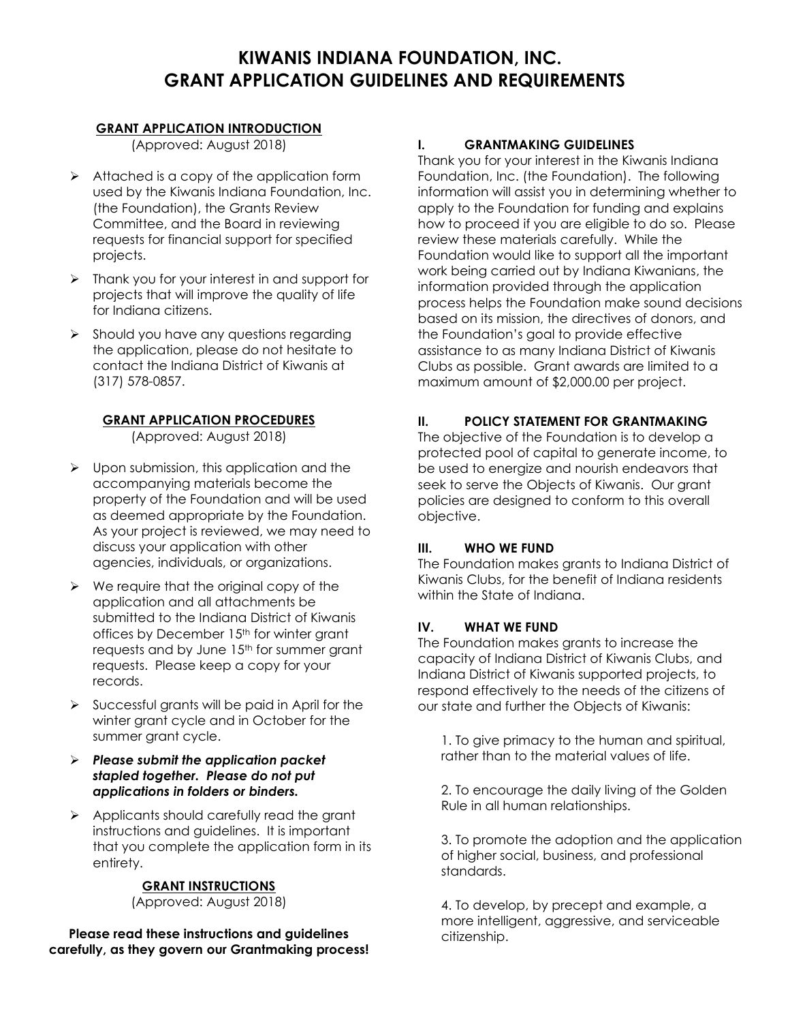# **KIWANIS INDIANA FOUNDATION, INC. GRANT APPLICATION GUIDELINES AND REQUIREMENTS**

#### **GRANT APPLICATION INTRODUCTION**

(Approved: August 2018)

- $\triangleright$  Attached is a copy of the application form used by the Kiwanis Indiana Foundation, Inc. (the Foundation), the Grants Review Committee, and the Board in reviewing requests for financial support for specified projects.
- ➢ Thank you for your interest in and support for projects that will improve the quality of life for Indiana citizens.
- ➢ Should you have any questions regarding the application, please do not hesitate to contact the Indiana District of Kiwanis at (317) 578-0857.

#### **GRANT APPLICATION PROCEDURES**

(Approved: August 2018)

- ➢ Upon submission, this application and the accompanying materials become the property of the Foundation and will be used as deemed appropriate by the Foundation. As your project is reviewed, we may need to discuss your application with other agencies, individuals, or organizations.
- ➢ We require that the original copy of the application and all attachments be submitted to the Indiana District of Kiwanis offices by December 15<sup>th</sup> for winter grant requests and by June 15<sup>th</sup> for summer grant requests. Please keep a copy for your records.
- $\triangleright$  Successful grants will be paid in April for the winter grant cycle and in October for the summer grant cycle.
- ➢ *Please submit the application packet stapled together. Please do not put applications in folders or binders.*
- ➢ Applicants should carefully read the grant instructions and guidelines. It is important that you complete the application form in its entirety.

# **GRANT INSTRUCTIONS**

(Approved: August 2018)

**Please read these instructions and guidelines carefully, as they govern our Grantmaking process!**

# **I. GRANTMAKING GUIDELINES**

Thank you for your interest in the Kiwanis Indiana Foundation, Inc. (the Foundation). The following information will assist you in determining whether to apply to the Foundation for funding and explains how to proceed if you are eligible to do so. Please review these materials carefully. While the Foundation would like to support all the important work being carried out by Indiana Kiwanians, the information provided through the application process helps the Foundation make sound decisions based on its mission, the directives of donors, and the Foundation's goal to provide effective assistance to as many Indiana District of Kiwanis Clubs as possible. Grant awards are limited to a maximum amount of \$2,000.00 per project.

# **II. POLICY STATEMENT FOR GRANTMAKING**

The objective of the Foundation is to develop a protected pool of capital to generate income, to be used to energize and nourish endeavors that seek to serve the Objects of Kiwanis. Our grant policies are designed to conform to this overall objective.

#### **III. WHO WE FUND**

The Foundation makes grants to Indiana District of Kiwanis Clubs, for the benefit of Indiana residents within the State of Indiana.

# **IV. WHAT WE FUND**

The Foundation makes grants to increase the capacity of Indiana District of Kiwanis Clubs, and Indiana District of Kiwanis supported projects, to respond effectively to the needs of the citizens of our state and further the Objects of Kiwanis:

1. To give primacy to the human and spiritual, rather than to the material values of life.

2. To encourage the daily living of the Golden Rule in all human relationships.

3. To promote the adoption and the application of higher social, business, and professional standards.

4. To develop, by precept and example, a more intelligent, aggressive, and serviceable citizenship.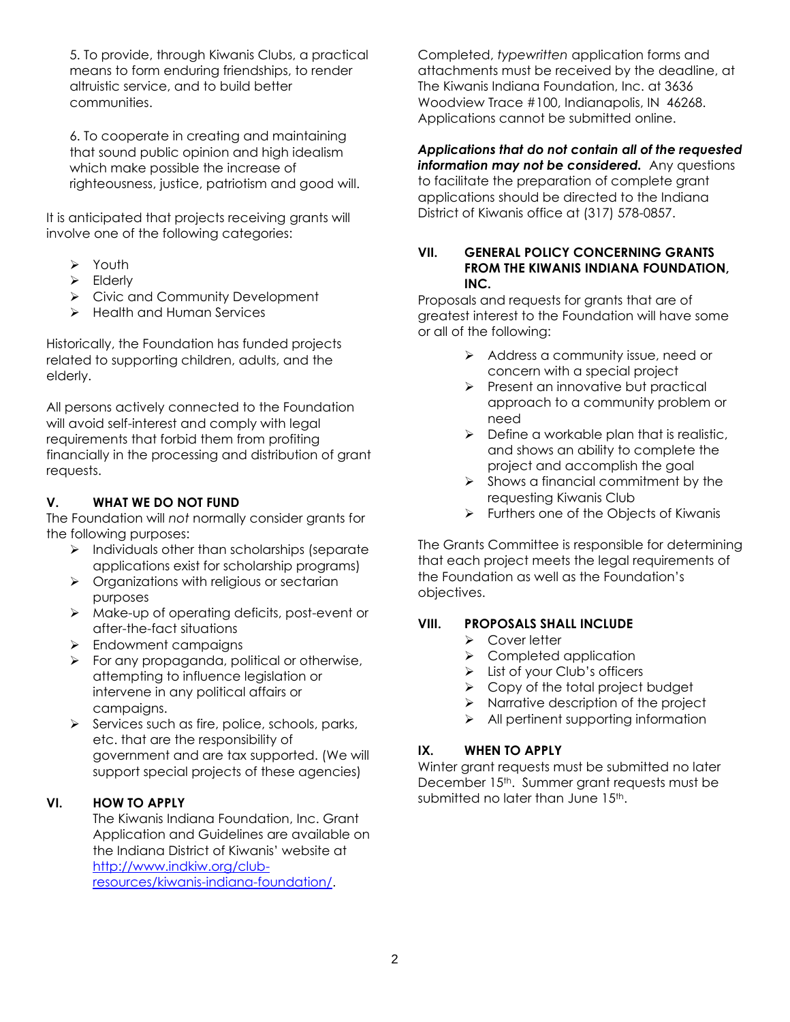5. To provide, through Kiwanis Clubs, a practical means to form enduring friendships, to render altruistic service, and to build better communities.

6. To cooperate in creating and maintaining that sound public opinion and high idealism which make possible the increase of righteousness, justice, patriotism and good will.

It is anticipated that projects receiving grants will involve one of the following categories:

- ➢ Youth
- ➢ Elderly
- ➢ Civic and Community Development
- ➢ Health and Human Services

Historically, the Foundation has funded projects related to supporting children, adults, and the elderly.

All persons actively connected to the Foundation will avoid self-interest and comply with legal requirements that forbid them from profiting financially in the processing and distribution of grant requests.

# **V. WHAT WE DO NOT FUND**

The Foundation will *not* normally consider grants for the following purposes:

- ➢ Individuals other than scholarships (separate applications exist for scholarship programs)
- ➢ Organizations with religious or sectarian purposes
- ➢ Make-up of operating deficits, post-event or after-the-fact situations
- ➢ Endowment campaigns
- ➢ For any propaganda, political or otherwise, attempting to influence legislation or intervene in any political affairs or campaigns.
- ➢ Services such as fire, police, schools, parks, etc. that are the responsibility of government and are tax supported. (We will support special projects of these agencies)

# **VI. HOW TO APPLY**

The Kiwanis Indiana Foundation, Inc. Grant Application and Guidelines are available on the Indiana District of Kiwanis' website at [http://www.indkiw.org/club](http://www.indkiw.org/club-resources/kiwanis-indiana-foundation/)[resources/kiwanis-indiana-foundation/.](http://www.indkiw.org/club-resources/kiwanis-indiana-foundation/)

Completed, *typewritten* application forms and attachments must be received by the deadline, at The Kiwanis Indiana Foundation, Inc. at 3636 Woodview Trace #100, Indianapolis, IN 46268. Applications cannot be submitted online.

#### *Applications that do not contain all of the requested information may not be considered.* Any questions

to facilitate the preparation of complete grant applications should be directed to the Indiana District of Kiwanis office at (317) 578-0857.

#### **VII. GENERAL POLICY CONCERNING GRANTS FROM THE KIWANIS INDIANA FOUNDATION, INC.**

Proposals and requests for grants that are of greatest interest to the Foundation will have some or all of the following:

- ➢ Address a community issue, need or concern with a special project
- ➢ Present an innovative but practical approach to a community problem or need
- $\triangleright$  Define a workable plan that is realistic, and shows an ability to complete the project and accomplish the goal
- $\triangleright$  Shows a financial commitment by the requesting Kiwanis Club
- ➢ Furthers one of the Objects of Kiwanis

The Grants Committee is responsible for determining that each project meets the legal requirements of the Foundation as well as the Foundation's objectives.

# **VIII. PROPOSALS SHALL INCLUDE**

- ➢ Cover letter
- ➢ Completed application
- ➢ List of your Club's officers
- ➢ Copy of the total project budget
- ➢ Narrative description of the project
- ➢ All pertinent supporting information

# **IX. WHEN TO APPLY**

Winter grant requests must be submitted no later December 15<sup>th</sup>. Summer grant requests must be submitted no later than June  $15<sup>th</sup>$ .